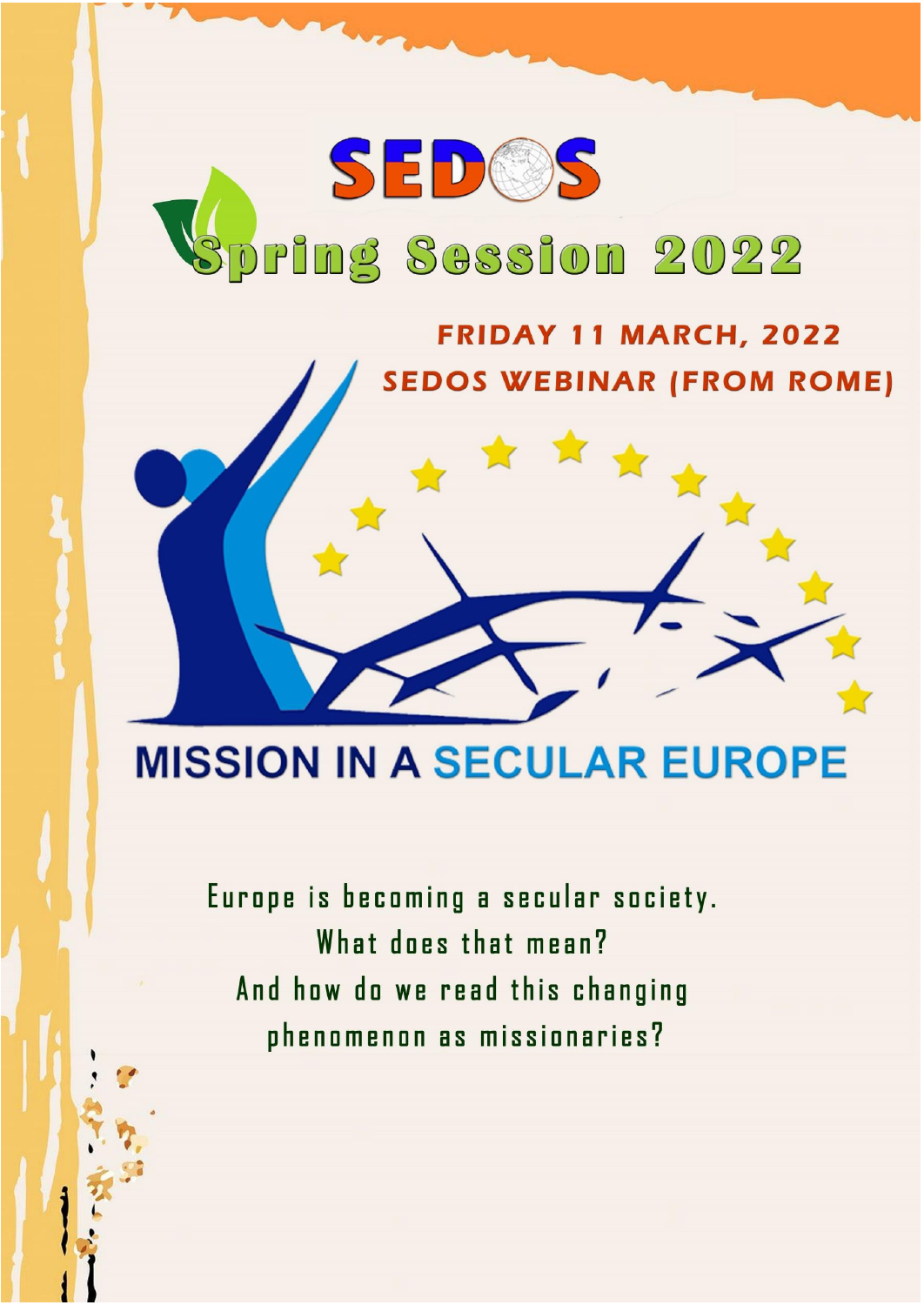## SEDOS pring Session 2022

## FRIDAY 11 MARCH, 2022 **SEDOS WEBINAR (FROM ROME)**

## **MISSION IN A SECULAR EUROPE**

Europe is becoming a secular society. What does that mean? And how do we read this changing phenomenon as missionaries?